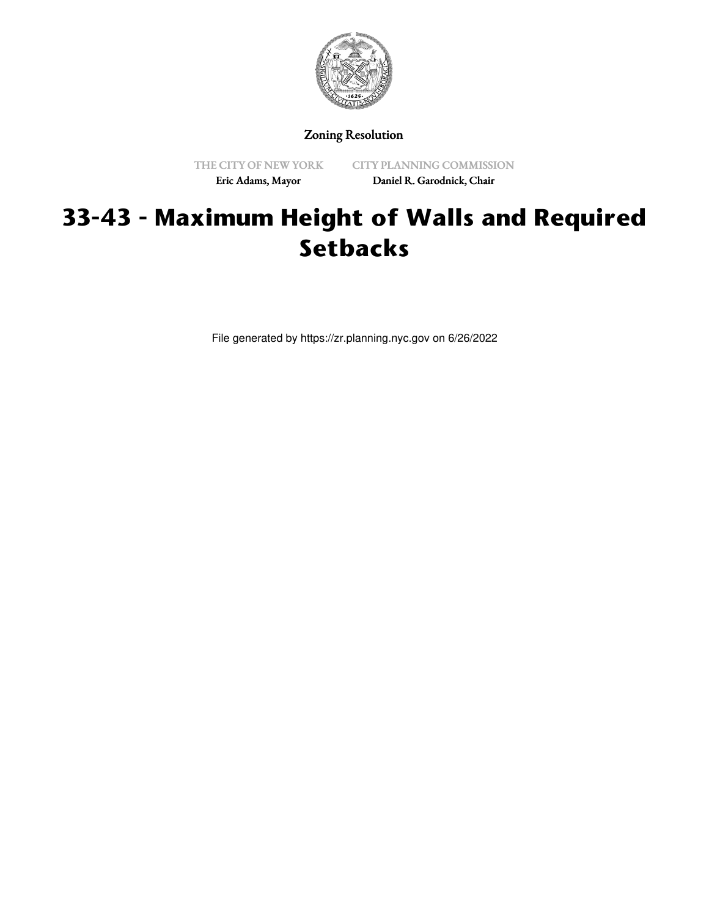

Zoning Resolution

THE CITY OF NEW YORK Eric Adams, Mayor

CITY PLANNING COMMISSION Daniel R. Garodnick, Chair

# **33-43 - Maximum Height of Walls and Required Setbacks**

File generated by https://zr.planning.nyc.gov on 6/26/2022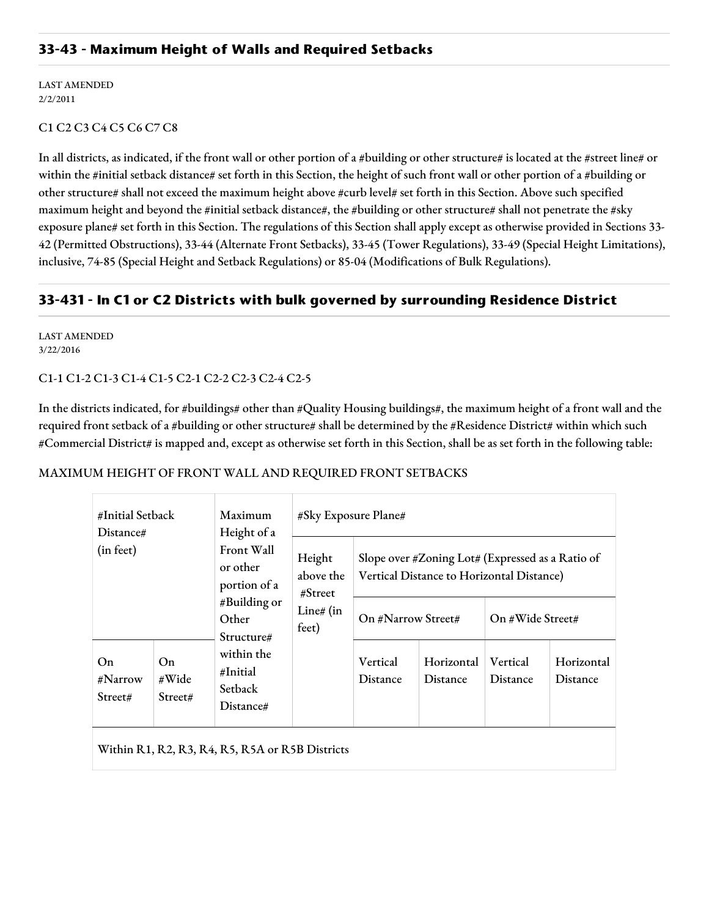## **33-43 - Maximum Height of Walls and Required Setbacks**

LAST AMENDED 2/2/2011

#### C1 C2 C3 C4 C5 C6 C7 C8

In all districts, as indicated, if the front wall or other portion of a #building or other structure# is located at the #street line# or within the #initial setback distance# set forth in this Section, the height of such front wall or other portion of a #building or other structure# shall not exceed the maximum height above #curb level# set forth in this Section. Above such specified maximum height and beyond the #initial setback distance#, the #building or other structure# shall not penetrate the #sky exposure plane# set forth in this Section. The regulations of this Section shall apply except as otherwise provided in Sections 33- 42 (Permitted Obstructions), 33-44 (Alternate Front Setbacks), 33-45 (Tower Regulations), 33-49 (Special Height Limitations), inclusive, 74-85 (Special Height and Setback Regulations) or 85-04 (Modifications of Bulk Regulations).

## **33-431 - In C1 or C2 Districts with bulk governed by surrounding Residence District**

LAST AMENDED 3/22/2016

C1-1 C1-2 C1-3 C1-4 C1-5 C2-1 C2-2 C2-3 C2-4 C2-5

In the districts indicated, for #buildings# other than #Quality Housing buildings#, the maximum height of a front wall and the required front setback of a #building or other structure# shall be determined by the #Residence District# within which such #Commercial District# is mapped and, except as otherwise set forth in this Section, shall be as set forth in the following table:

#### MAXIMUM HEIGHT OF FRONT WALL AND REQUIRED FRONT SETBACKS

| #Initial Setback<br>Distance# |                        | Maximum<br>Height of a<br>Front Wall<br>or other<br>portion of a<br>#Building or<br>Other<br>Structure# | #Sky Exposure Plane#                                    |                                                                                               |                        |                      |                               |  |
|-------------------------------|------------------------|---------------------------------------------------------------------------------------------------------|---------------------------------------------------------|-----------------------------------------------------------------------------------------------|------------------------|----------------------|-------------------------------|--|
| (in feet)                     |                        |                                                                                                         | Height<br>above the<br># Street<br>Line# $(in$<br>feet) | Slope over #Zoning Lot# (Expressed as a Ratio of<br>Vertical Distance to Horizontal Distance) |                        |                      |                               |  |
|                               |                        |                                                                                                         |                                                         | On #Narrow Street#                                                                            |                        | On #Wide Street#     |                               |  |
| On.<br>#Narrow<br>Street#     | On<br>#Wide<br>Street# | within the<br>#Initial<br><b>Setback</b><br>Distance#                                                   |                                                         | Vertical<br><b>Distance</b>                                                                   | Horizontal<br>Distance | Vertical<br>Distance | Horizontal<br><b>Distance</b> |  |
|                               |                        | Within R1, R2, R3, R4, R5, R5A or R5B Districts                                                         |                                                         |                                                                                               |                        |                      |                               |  |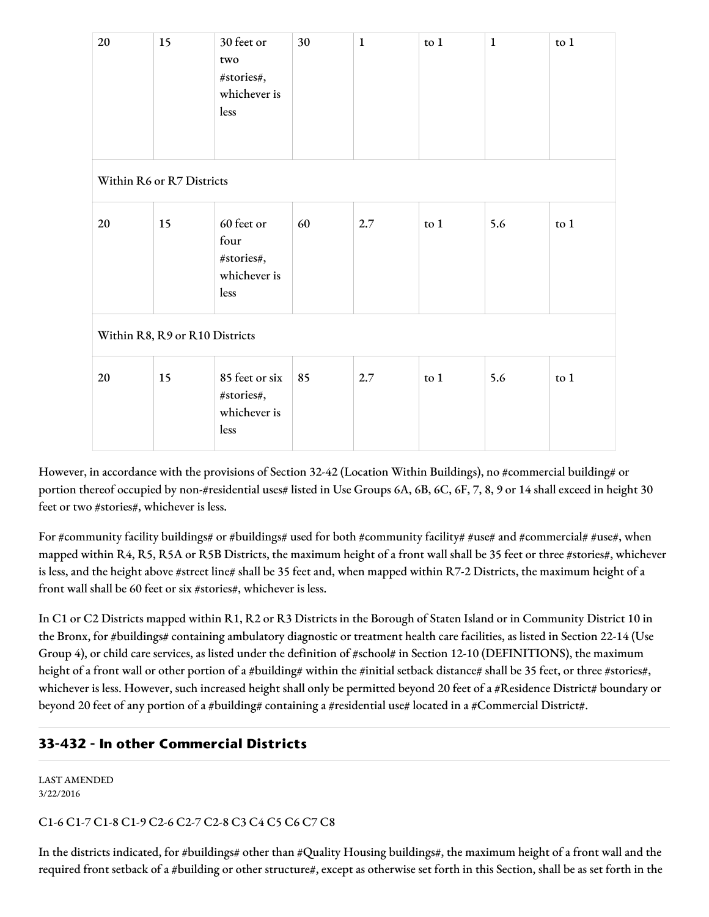| 20                             | 15 | 30 feet or<br>two<br>#stories#,<br>whichever is<br>less  | 30 | $\mathbf{1}$ | to 1   | $\mathbf{1}$ | to 1 |  |
|--------------------------------|----|----------------------------------------------------------|----|--------------|--------|--------------|------|--|
| Within R6 or R7 Districts      |    |                                                          |    |              |        |              |      |  |
| 20                             | 15 | 60 feet or<br>four<br>#stories#,<br>whichever is<br>less | 60 | 2.7          | to $1$ | 5.6          | to 1 |  |
| Within R8, R9 or R10 Districts |    |                                                          |    |              |        |              |      |  |
| 20                             | 15 | 85 feet or six<br>#stories#,<br>whichever is<br>less     | 85 | 2.7          | to 1   | 5.6          | to 1 |  |

However, in accordance with the provisions of Section 32-42 (Location Within Buildings), no #commercial building# or portion thereof occupied by non-#residential uses# listed in Use Groups 6A, 6B, 6C, 6F, 7, 8, 9 or 14 shall exceed in height 30 feet or two #stories#, whichever is less.

For #community facility buildings# or #buildings# used for both #community facility# #use# and #commercial# #use#, when mapped within R4, R5, R5A or R5B Districts, the maximum height of a front wall shall be 35 feet or three #stories#, whichever is less, and the height above #street line# shall be 35 feet and, when mapped within R7-2 Districts, the maximum height of a front wall shall be 60 feet or six #stories#, whichever is less.

In C1 or C2 Districts mapped within R1, R2 or R3 Districts in the Borough of Staten Island or in Community District 10 in the Bronx, for #buildings# containing ambulatory diagnostic or treatment health care facilities, as listed in Section 22-14 (Use Group 4), or child care services, as listed under the definition of #school# in Section 12-10 (DEFINITIONS), the maximum height of a front wall or other portion of a #building# within the #initial setback distance# shall be 35 feet, or three #stories#, whichever is less. However, such increased height shall only be permitted beyond 20 feet of a #Residence District# boundary or beyond 20 feet of any portion of a #building# containing a #residential use# located in a #Commercial District#.

# **33-432 - In other Commercial Districts**

LAST AMENDED 3/22/2016

## C1-6 C1-7 C1-8 C1-9 C2-6 C2-7 C2-8 C3 C4 C5 C6 C7 C8

In the districts indicated, for #buildings# other than #Quality Housing buildings#, the maximum height of a front wall and the required front setback of a #building or other structure#, except as otherwise set forth in this Section, shall be as set forth in the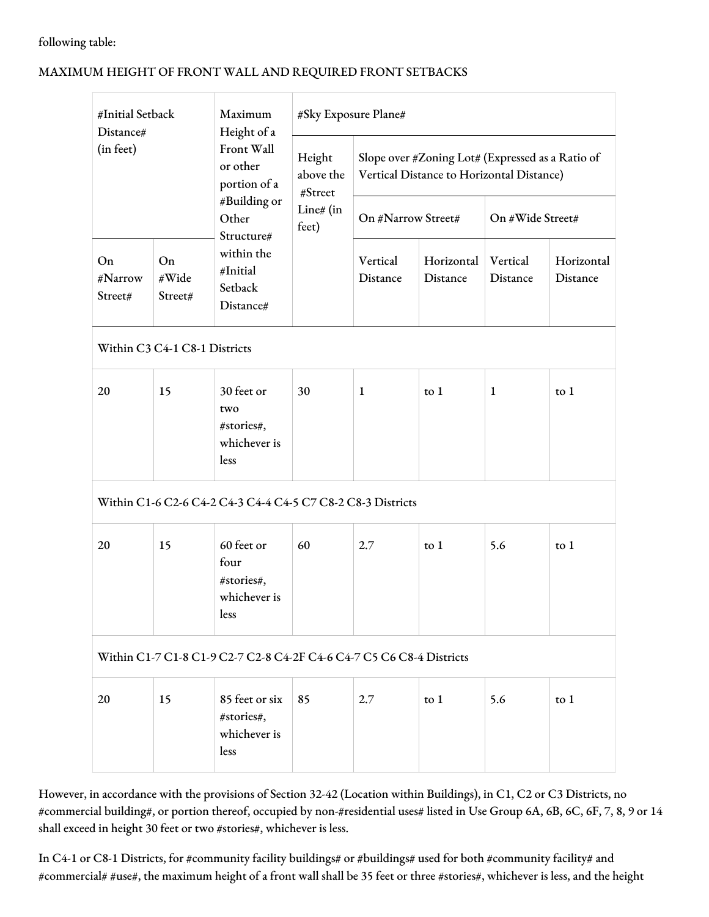#### following table:

### MAXIMUM HEIGHT OF FRONT WALL AND REQUIRED FRONT SETBACKS

| #Initial Setback<br>Distance#<br>(in feet)                           |                        | Maximum<br>Height of a<br>Front Wall<br>or other<br>portion of a<br>#Building or<br>Other<br>Structure# | #Sky Exposure Plane#                                 |                                                                                               |                        |                      |                        |  |
|----------------------------------------------------------------------|------------------------|---------------------------------------------------------------------------------------------------------|------------------------------------------------------|-----------------------------------------------------------------------------------------------|------------------------|----------------------|------------------------|--|
|                                                                      |                        |                                                                                                         | Height<br>above the<br>#Street<br>Line# (in<br>feet) | Slope over #Zoning Lot# (Expressed as a Ratio of<br>Vertical Distance to Horizontal Distance) |                        |                      |                        |  |
|                                                                      |                        |                                                                                                         |                                                      | On #Narrow Street#                                                                            |                        | On #Wide Street#     |                        |  |
| On<br>#Narrow<br>Street#                                             | On<br>#Wide<br>Street# | within the<br>#Initial<br>Setback<br>Distance#                                                          |                                                      | Vertical<br>Distance                                                                          | Horizontal<br>Distance | Vertical<br>Distance | Horizontal<br>Distance |  |
| Within C3 C4-1 C8-1 Districts                                        |                        |                                                                                                         |                                                      |                                                                                               |                        |                      |                        |  |
| 20                                                                   | 15                     | 30 feet or<br>two<br>#stories#,<br>whichever is<br>less                                                 | 30                                                   | 1                                                                                             | to $1$                 | $\mathbf{1}$         | to 1                   |  |
| Within C1-6 C2-6 C4-2 C4-3 C4-4 C4-5 C7 C8-2 C8-3 Districts          |                        |                                                                                                         |                                                      |                                                                                               |                        |                      |                        |  |
| 20                                                                   | 15                     | 60 feet or<br>four<br>#stories#,<br>whichever is<br>less                                                | 60                                                   | 2.7                                                                                           | $\text{to}$ 1          | 5.6                  | to $1$                 |  |
| Within C1-7 C1-8 C1-9 C2-7 C2-8 C4-2F C4-6 C4-7 C5 C6 C8-4 Districts |                        |                                                                                                         |                                                      |                                                                                               |                        |                      |                        |  |
| 20                                                                   | 15                     | 85 feet or six<br>#stories#,<br>whichever is<br>less                                                    | 85                                                   | 2.7                                                                                           | to $1$                 | 5.6                  | to $1$                 |  |

However, in accordance with the provisions of Section 32-42 (Location within Buildings), in C1, C2 or C3 Districts, no #commercial building#, or portion thereof, occupied by non-#residential uses# listed in Use Group 6A, 6B, 6C, 6F, 7, 8, 9 or 14 shall exceed in height 30 feet or two #stories#, whichever is less.

In C4-1 or C8-1 Districts, for #community facility buildings# or #buildings# used for both #community facility# and #commercial# #use#, the maximum height of a front wall shall be 35 feet or three #stories#, whichever is less, and the height